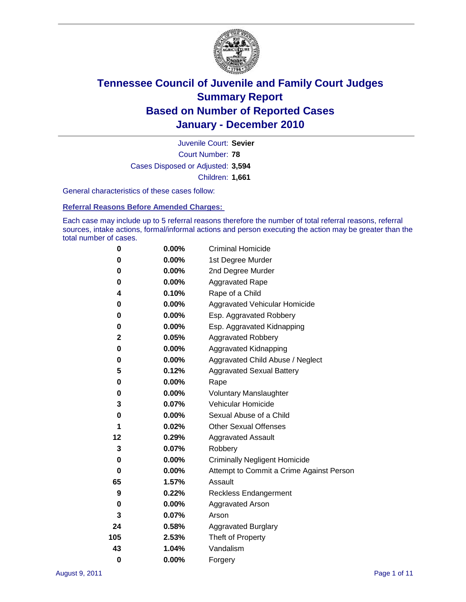

Court Number: **78** Juvenile Court: **Sevier** Cases Disposed or Adjusted: **3,594** Children: **1,661**

General characteristics of these cases follow:

**Referral Reasons Before Amended Charges:** 

Each case may include up to 5 referral reasons therefore the number of total referral reasons, referral sources, intake actions, formal/informal actions and person executing the action may be greater than the total number of cases.

| 0        | $0.00\%$ | <b>Criminal Homicide</b>                 |  |  |  |
|----------|----------|------------------------------------------|--|--|--|
| 0        | 0.00%    | 1st Degree Murder                        |  |  |  |
| 0        | $0.00\%$ | 2nd Degree Murder                        |  |  |  |
| 0        | $0.00\%$ | <b>Aggravated Rape</b>                   |  |  |  |
| 4        | 0.10%    | Rape of a Child                          |  |  |  |
| 0        | $0.00\%$ | Aggravated Vehicular Homicide            |  |  |  |
| 0        | $0.00\%$ | Esp. Aggravated Robbery                  |  |  |  |
| 0        | 0.00%    | Esp. Aggravated Kidnapping               |  |  |  |
| 2        | 0.05%    | <b>Aggravated Robbery</b>                |  |  |  |
| 0        | 0.00%    | Aggravated Kidnapping                    |  |  |  |
| 0        | 0.00%    | Aggravated Child Abuse / Neglect         |  |  |  |
| 5        | 0.12%    | <b>Aggravated Sexual Battery</b>         |  |  |  |
| 0        | 0.00%    | Rape                                     |  |  |  |
| 0        | $0.00\%$ | <b>Voluntary Manslaughter</b>            |  |  |  |
| 3        | 0.07%    | Vehicular Homicide                       |  |  |  |
| 0        | 0.00%    | Sexual Abuse of a Child                  |  |  |  |
| 1        | 0.02%    | <b>Other Sexual Offenses</b>             |  |  |  |
| 12       | 0.29%    | <b>Aggravated Assault</b>                |  |  |  |
| 3        | 0.07%    | Robbery                                  |  |  |  |
| 0        | $0.00\%$ | <b>Criminally Negligent Homicide</b>     |  |  |  |
| 0        | 0.00%    | Attempt to Commit a Crime Against Person |  |  |  |
| 65       | 1.57%    | Assault                                  |  |  |  |
| 9        | 0.22%    | <b>Reckless Endangerment</b>             |  |  |  |
| 0        | $0.00\%$ | <b>Aggravated Arson</b>                  |  |  |  |
| 3        | 0.07%    | Arson                                    |  |  |  |
| 24       | 0.58%    | <b>Aggravated Burglary</b>               |  |  |  |
| 105      | 2.53%    | Theft of Property                        |  |  |  |
| 43       | 1.04%    | Vandalism                                |  |  |  |
| $\bf{0}$ | 0.00%    | Forgery                                  |  |  |  |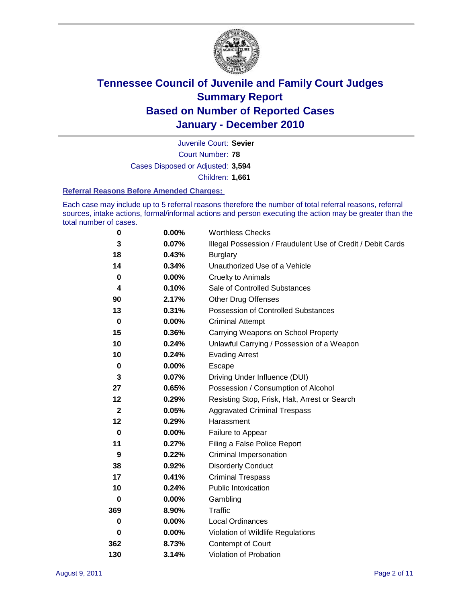

Court Number: **78** Juvenile Court: **Sevier** Cases Disposed or Adjusted: **3,594** Children: **1,661**

#### **Referral Reasons Before Amended Charges:**

Each case may include up to 5 referral reasons therefore the number of total referral reasons, referral sources, intake actions, formal/informal actions and person executing the action may be greater than the total number of cases.

| $\pmb{0}$    | 0.00%    | <b>Worthless Checks</b>                                     |  |  |  |
|--------------|----------|-------------------------------------------------------------|--|--|--|
| 3            | 0.07%    | Illegal Possession / Fraudulent Use of Credit / Debit Cards |  |  |  |
| 18           | 0.43%    | <b>Burglary</b>                                             |  |  |  |
| 14           | 0.34%    | Unauthorized Use of a Vehicle                               |  |  |  |
| $\pmb{0}$    | $0.00\%$ | <b>Cruelty to Animals</b>                                   |  |  |  |
| 4            | 0.10%    | Sale of Controlled Substances                               |  |  |  |
| 90           | 2.17%    | <b>Other Drug Offenses</b>                                  |  |  |  |
| 13           | 0.31%    | Possession of Controlled Substances                         |  |  |  |
| $\mathbf 0$  | $0.00\%$ | <b>Criminal Attempt</b>                                     |  |  |  |
| 15           | 0.36%    | Carrying Weapons on School Property                         |  |  |  |
| 10           | 0.24%    | Unlawful Carrying / Possession of a Weapon                  |  |  |  |
| 10           | 0.24%    | <b>Evading Arrest</b>                                       |  |  |  |
| $\mathbf 0$  | 0.00%    | Escape                                                      |  |  |  |
| 3            | 0.07%    | Driving Under Influence (DUI)                               |  |  |  |
| 27           | 0.65%    | Possession / Consumption of Alcohol                         |  |  |  |
| 12           | 0.29%    | Resisting Stop, Frisk, Halt, Arrest or Search               |  |  |  |
| $\mathbf{2}$ | 0.05%    | <b>Aggravated Criminal Trespass</b>                         |  |  |  |
| 12           | 0.29%    | Harassment                                                  |  |  |  |
| $\mathbf 0$  | 0.00%    | Failure to Appear                                           |  |  |  |
| 11           | 0.27%    | Filing a False Police Report                                |  |  |  |
| 9            | 0.22%    | Criminal Impersonation                                      |  |  |  |
| 38           | 0.92%    | <b>Disorderly Conduct</b>                                   |  |  |  |
| 17           | 0.41%    | <b>Criminal Trespass</b>                                    |  |  |  |
| 10           | 0.24%    | <b>Public Intoxication</b>                                  |  |  |  |
| 0            | $0.00\%$ | Gambling                                                    |  |  |  |
| 369          | 8.90%    | <b>Traffic</b>                                              |  |  |  |
| 0            | $0.00\%$ | <b>Local Ordinances</b>                                     |  |  |  |
| $\mathbf 0$  | 0.00%    | Violation of Wildlife Regulations                           |  |  |  |
| 362          | 8.73%    | Contempt of Court                                           |  |  |  |
| 130          | 3.14%    | Violation of Probation                                      |  |  |  |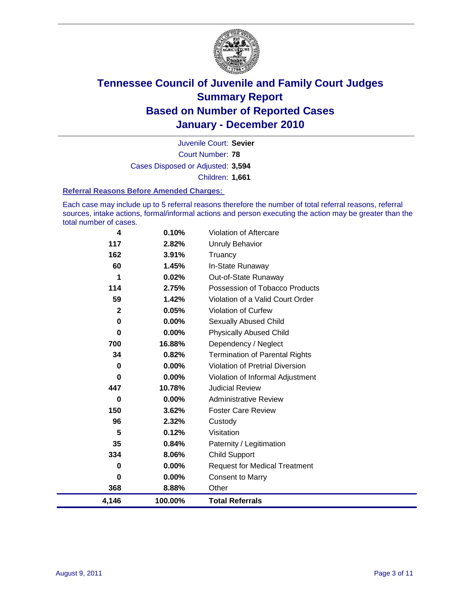

Court Number: **78** Juvenile Court: **Sevier** Cases Disposed or Adjusted: **3,594** Children: **1,661**

#### **Referral Reasons Before Amended Charges:**

Each case may include up to 5 referral reasons therefore the number of total referral reasons, referral sources, intake actions, formal/informal actions and person executing the action may be greater than the total number of cases.

| 4            | 0.10%   | Violation of Aftercare                 |
|--------------|---------|----------------------------------------|
| 117          | 2.82%   | Unruly Behavior                        |
| 162          | 3.91%   | Truancy                                |
| 60           | 1.45%   | In-State Runaway                       |
| 1            | 0.02%   | Out-of-State Runaway                   |
| 114          | 2.75%   | Possession of Tobacco Products         |
| 59           | 1.42%   | Violation of a Valid Court Order       |
| $\mathbf{2}$ | 0.05%   | <b>Violation of Curfew</b>             |
| 0            | 0.00%   | Sexually Abused Child                  |
| $\bf{0}$     | 0.00%   | <b>Physically Abused Child</b>         |
| 700          | 16.88%  | Dependency / Neglect                   |
| 34           | 0.82%   | <b>Termination of Parental Rights</b>  |
| 0            | 0.00%   | <b>Violation of Pretrial Diversion</b> |
| 0            | 0.00%   | Violation of Informal Adjustment       |
| 447          | 10.78%  | <b>Judicial Review</b>                 |
| 0            | 0.00%   | <b>Administrative Review</b>           |
| 150          | 3.62%   | <b>Foster Care Review</b>              |
| 96           | 2.32%   | Custody                                |
| 5            | 0.12%   | Visitation                             |
| 35           | 0.84%   | Paternity / Legitimation               |
| 334          | 8.06%   | Child Support                          |
| 0            | 0.00%   | <b>Request for Medical Treatment</b>   |
| $\bf{0}$     | 0.00%   | <b>Consent to Marry</b>                |
| 368          | 8.88%   | Other                                  |
| 4,146        | 100.00% | <b>Total Referrals</b>                 |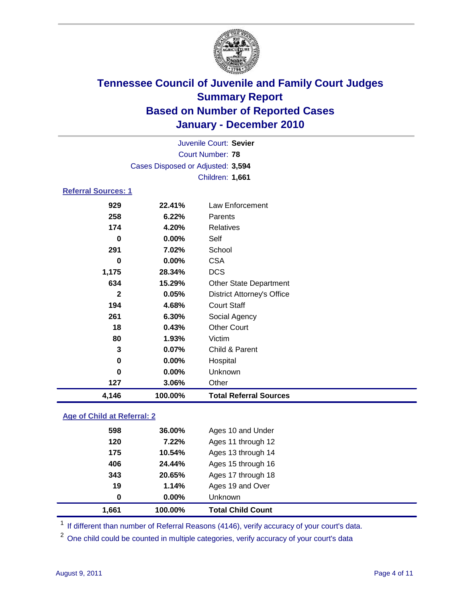

|                            | Cases Disposed or Adjusted: 3,594 |                                   |  |  |  |
|----------------------------|-----------------------------------|-----------------------------------|--|--|--|
|                            |                                   | Children: 1,661                   |  |  |  |
| <b>Referral Sources: 1</b> |                                   |                                   |  |  |  |
| 929                        | 22.41%                            | <b>Law Enforcement</b>            |  |  |  |
| 258                        | 6.22%                             | Parents                           |  |  |  |
| 174                        | 4.20%                             | Relatives                         |  |  |  |
| $\bf{0}$                   | 0.00%                             | Self                              |  |  |  |
| 291                        | 7.02%                             | School                            |  |  |  |
| $\bf{0}$                   | $0.00\%$                          | <b>CSA</b>                        |  |  |  |
| 1,175                      | 28.34%                            | <b>DCS</b>                        |  |  |  |
| 634                        | 15.29%                            | <b>Other State Department</b>     |  |  |  |
| $\overline{2}$             | 0.05%                             | <b>District Attorney's Office</b> |  |  |  |
| 194                        | 4.68%                             | <b>Court Staff</b>                |  |  |  |
| 261                        | 6.30%                             | Social Agency                     |  |  |  |
| 18                         | 0.43%                             | <b>Other Court</b>                |  |  |  |
| 80                         | 1.93%                             | Victim                            |  |  |  |
| 3                          | 0.07%                             | Child & Parent                    |  |  |  |
| $\bf{0}$                   | 0.00%                             | Hospital                          |  |  |  |
| $\bf{0}$                   | 0.00%                             | Unknown                           |  |  |  |
| 127                        | 3.06%                             | Other                             |  |  |  |
| 4,146                      | 100.00%                           | <b>Total Referral Sources</b>     |  |  |  |

| 1.661 | 100.00%  | <b>Total Child Count</b> |
|-------|----------|--------------------------|
| 0     | $0.00\%$ | Unknown                  |
| 19    | 1.14%    | Ages 19 and Over         |
| 343   | 20.65%   | Ages 17 through 18       |
| 406   | 24.44%   | Ages 15 through 16       |
| 175   | 10.54%   | Ages 13 through 14       |
| 120   | 7.22%    | Ages 11 through 12       |
| 598   | 36.00%   | Ages 10 and Under        |
|       |          |                          |

<sup>1</sup> If different than number of Referral Reasons (4146), verify accuracy of your court's data.

<sup>2</sup> One child could be counted in multiple categories, verify accuracy of your court's data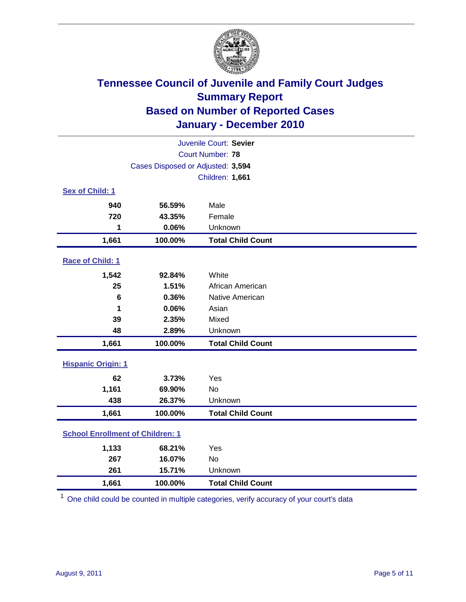

|                                         | Juvenile Court: Sevier            |                          |  |  |
|-----------------------------------------|-----------------------------------|--------------------------|--|--|
|                                         | <b>Court Number: 78</b>           |                          |  |  |
|                                         | Cases Disposed or Adjusted: 3,594 |                          |  |  |
|                                         |                                   | Children: 1,661          |  |  |
| Sex of Child: 1                         |                                   |                          |  |  |
| 940                                     | 56.59%                            | Male                     |  |  |
| 720                                     | 43.35%                            | Female                   |  |  |
| 1                                       | 0.06%                             | Unknown                  |  |  |
| 1,661                                   | 100.00%                           | <b>Total Child Count</b> |  |  |
| Race of Child: 1                        |                                   |                          |  |  |
| 1,542                                   | 92.84%                            | White                    |  |  |
| 25                                      | 1.51%                             | African American         |  |  |
| 6                                       | 0.36%                             | Native American          |  |  |
| 1                                       | 0.06%                             | Asian                    |  |  |
| 39                                      | 2.35%                             | Mixed                    |  |  |
| 48                                      | 2.89%                             | Unknown                  |  |  |
| 1,661                                   | 100.00%                           | <b>Total Child Count</b> |  |  |
| <b>Hispanic Origin: 1</b>               |                                   |                          |  |  |
| 62                                      | 3.73%                             | Yes                      |  |  |
| 1,161                                   | 69.90%                            | <b>No</b>                |  |  |
| 438                                     | 26.37%                            | Unknown                  |  |  |
| 1,661                                   | 100.00%                           | <b>Total Child Count</b> |  |  |
| <b>School Enrollment of Children: 1</b> |                                   |                          |  |  |
| 1,133                                   | 68.21%                            | Yes                      |  |  |
| 267                                     | 16.07%                            | No                       |  |  |
| 261                                     | 15.71%                            | Unknown                  |  |  |
| 1,661                                   | 100.00%                           | <b>Total Child Count</b> |  |  |

<sup>1</sup> One child could be counted in multiple categories, verify accuracy of your court's data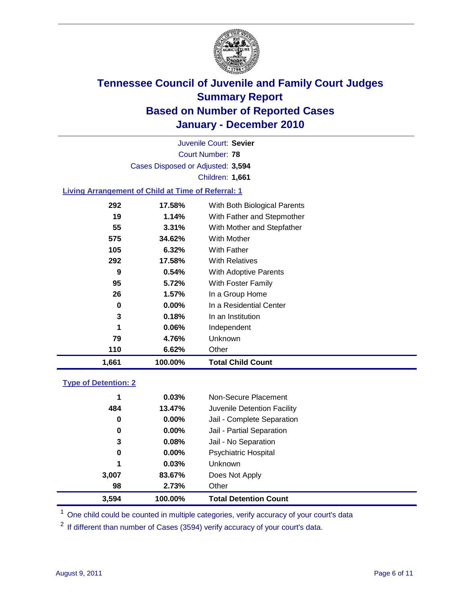

Court Number: **78** Juvenile Court: **Sevier** Cases Disposed or Adjusted: **3,594** Children: **1,661**

### **Living Arrangement of Child at Time of Referral: 1**

| 1,661 | 100.00%  | Total Child Count            |
|-------|----------|------------------------------|
| 110   | 6.62%    | Other                        |
| 79    | 4.76%    | Unknown                      |
| 1     | 0.06%    | Independent                  |
| 3     | 0.18%    | In an Institution            |
| 0     | $0.00\%$ | In a Residential Center      |
| 26    | 1.57%    | In a Group Home              |
| 95    | 5.72%    | With Foster Family           |
| 9     | 0.54%    | <b>With Adoptive Parents</b> |
| 292   | 17.58%   | <b>With Relatives</b>        |
| 105   | 6.32%    | With Father                  |
| 575   | 34.62%   | <b>With Mother</b>           |
| 55    | 3.31%    | With Mother and Stepfather   |
| 19    | 1.14%    | With Father and Stepmother   |
| 292   | 17.58%   | With Both Biological Parents |
|       |          |                              |

### **Type of Detention: 2**

| 3,594 | 100.00%  | <b>Total Detention Count</b> |  |
|-------|----------|------------------------------|--|
| 98    | 2.73%    | Other                        |  |
| 3,007 | 83.67%   | Does Not Apply               |  |
| 1     | 0.03%    | <b>Unknown</b>               |  |
| 0     | $0.00\%$ | <b>Psychiatric Hospital</b>  |  |
| 3     | 0.08%    | Jail - No Separation         |  |
| 0     | $0.00\%$ | Jail - Partial Separation    |  |
| 0     | 0.00%    | Jail - Complete Separation   |  |
| 484   | 13.47%   | Juvenile Detention Facility  |  |
| 1     | 0.03%    | Non-Secure Placement         |  |
|       |          |                              |  |

<sup>1</sup> One child could be counted in multiple categories, verify accuracy of your court's data

<sup>2</sup> If different than number of Cases (3594) verify accuracy of your court's data.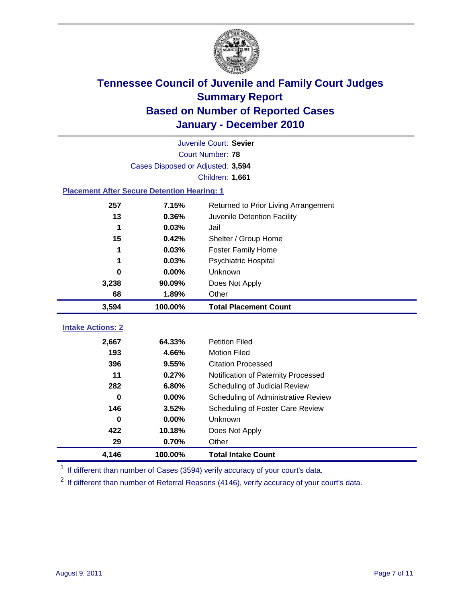

|                                                    | Juvenile Court: Sevier            |                                      |  |  |
|----------------------------------------------------|-----------------------------------|--------------------------------------|--|--|
| <b>Court Number: 78</b>                            |                                   |                                      |  |  |
|                                                    | Cases Disposed or Adjusted: 3,594 |                                      |  |  |
|                                                    |                                   | Children: 1,661                      |  |  |
| <b>Placement After Secure Detention Hearing: 1</b> |                                   |                                      |  |  |
| 257                                                | 7.15%                             | Returned to Prior Living Arrangement |  |  |
| 13                                                 | 0.36%                             | Juvenile Detention Facility          |  |  |
| 1                                                  | 0.03%                             | Jail                                 |  |  |
| 15                                                 | 0.42%                             | Shelter / Group Home                 |  |  |
| 1                                                  | 0.03%                             | <b>Foster Family Home</b>            |  |  |
| 1                                                  | 0.03%                             | Psychiatric Hospital                 |  |  |
| 0                                                  | $0.00\%$                          | Unknown                              |  |  |
| 3,238                                              | 90.09%                            | Does Not Apply                       |  |  |
| 68                                                 | 1.89%                             | Other                                |  |  |
| 3,594                                              | 100.00%                           | <b>Total Placement Count</b>         |  |  |
| <b>Intake Actions: 2</b>                           |                                   |                                      |  |  |
|                                                    |                                   |                                      |  |  |
| 2,667                                              | 64.33%                            | <b>Petition Filed</b>                |  |  |
| 193                                                | 4.66%                             | <b>Motion Filed</b>                  |  |  |
| 396                                                | 9.55%                             | <b>Citation Processed</b>            |  |  |
| 11                                                 | 0.27%                             | Notification of Paternity Processed  |  |  |
| 282                                                | 6.80%                             | Scheduling of Judicial Review        |  |  |
| 0                                                  | 0.00%                             | Scheduling of Administrative Review  |  |  |
| 146                                                | 3.52%                             | Scheduling of Foster Care Review     |  |  |
| $\bf{0}$                                           | 0.00%                             | Unknown                              |  |  |
| 422                                                | 10.18%                            | Does Not Apply                       |  |  |
| 29                                                 | 0.70%                             | Other                                |  |  |
| 4,146                                              | 100.00%                           | <b>Total Intake Count</b>            |  |  |

<sup>1</sup> If different than number of Cases (3594) verify accuracy of your court's data.

<sup>2</sup> If different than number of Referral Reasons (4146), verify accuracy of your court's data.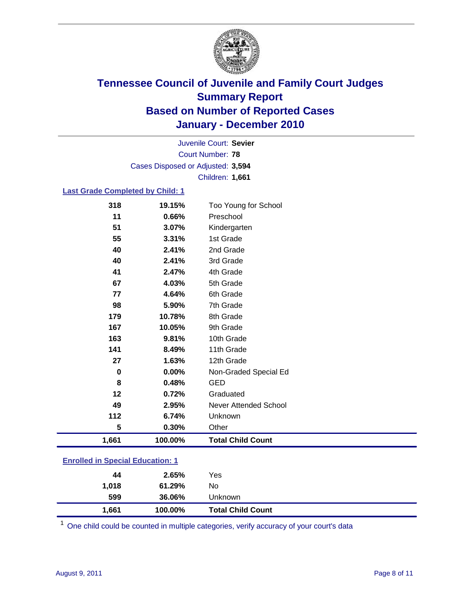

Court Number: **78** Juvenile Court: **Sevier** Cases Disposed or Adjusted: **3,594** Children: **1,661**

#### **Last Grade Completed by Child: 1**

| 318                                     | 19.15%  | Too Young for School         |  |
|-----------------------------------------|---------|------------------------------|--|
| 11                                      | 0.66%   | Preschool                    |  |
| 51                                      | 3.07%   | Kindergarten                 |  |
| 55                                      | 3.31%   | 1st Grade                    |  |
| 40                                      | 2.41%   | 2nd Grade                    |  |
| 40                                      | 2.41%   | 3rd Grade                    |  |
| 41                                      | 2.47%   | 4th Grade                    |  |
| 67                                      | 4.03%   | 5th Grade                    |  |
| 77                                      | 4.64%   | 6th Grade                    |  |
| 98                                      | 5.90%   | 7th Grade                    |  |
| 179                                     | 10.78%  | 8th Grade                    |  |
| 167                                     | 10.05%  | 9th Grade                    |  |
| 163                                     | 9.81%   | 10th Grade                   |  |
| 141                                     | 8.49%   | 11th Grade                   |  |
| 27                                      | 1.63%   | 12th Grade                   |  |
| 0                                       | 0.00%   | Non-Graded Special Ed        |  |
| 8                                       | 0.48%   | <b>GED</b>                   |  |
| 12                                      | 0.72%   | Graduated                    |  |
| 49                                      | 2.95%   | <b>Never Attended School</b> |  |
| 112                                     | 6.74%   | Unknown                      |  |
| 5                                       | 0.30%   | Other                        |  |
| 1,661                                   | 100.00% | <b>Total Child Count</b>     |  |
| <b>Enrolled in Special Education: 1</b> |         |                              |  |

| 1,661 | 100.00% | <b>Total Child Count</b> |  |
|-------|---------|--------------------------|--|
| 599   | 36.06%  | Unknown                  |  |
| 1,018 | 61.29%  | No                       |  |
| 44    | 2.65%   | Yes                      |  |
|       |         |                          |  |

One child could be counted in multiple categories, verify accuracy of your court's data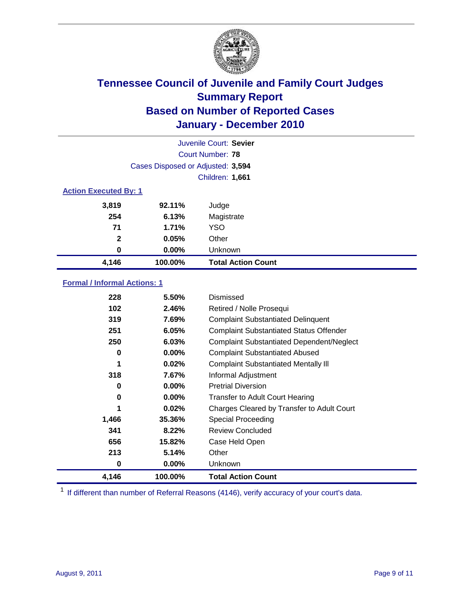

|                              |                                   | Juvenile Court: Sevier    |
|------------------------------|-----------------------------------|---------------------------|
|                              |                                   | Court Number: 78          |
|                              | Cases Disposed or Adjusted: 3,594 |                           |
|                              |                                   | Children: 1,661           |
| <b>Action Executed By: 1</b> |                                   |                           |
| 3,819                        | 92.11%                            | Judge                     |
| 254                          | 6.13%                             | Magistrate                |
| 71                           | 1.71%                             | <b>YSO</b>                |
| $\mathbf{2}$                 | 0.05%                             | Other                     |
| 0                            | 0.00%                             | Unknown                   |
| 4,146                        | 100.00%                           | <b>Total Action Count</b> |

#### **Formal / Informal Actions: 1**

| 228   | 5.50%    | Dismissed                                        |
|-------|----------|--------------------------------------------------|
| 102   | 2.46%    | Retired / Nolle Prosequi                         |
| 319   | 7.69%    | <b>Complaint Substantiated Delinquent</b>        |
| 251   | 6.05%    | <b>Complaint Substantiated Status Offender</b>   |
| 250   | 6.03%    | <b>Complaint Substantiated Dependent/Neglect</b> |
| 0     | $0.00\%$ | <b>Complaint Substantiated Abused</b>            |
| 1     | 0.02%    | <b>Complaint Substantiated Mentally III</b>      |
| 318   | 7.67%    | Informal Adjustment                              |
| 0     | $0.00\%$ | <b>Pretrial Diversion</b>                        |
| 0     | $0.00\%$ | <b>Transfer to Adult Court Hearing</b>           |
| 1     | 0.02%    | Charges Cleared by Transfer to Adult Court       |
| 1,466 | 35.36%   | <b>Special Proceeding</b>                        |
| 341   | 8.22%    | <b>Review Concluded</b>                          |
| 656   | 15.82%   | Case Held Open                                   |
| 213   | 5.14%    | Other                                            |
| 0     | $0.00\%$ | <b>Unknown</b>                                   |
| 4,146 | 100.00%  | <b>Total Action Count</b>                        |

<sup>1</sup> If different than number of Referral Reasons (4146), verify accuracy of your court's data.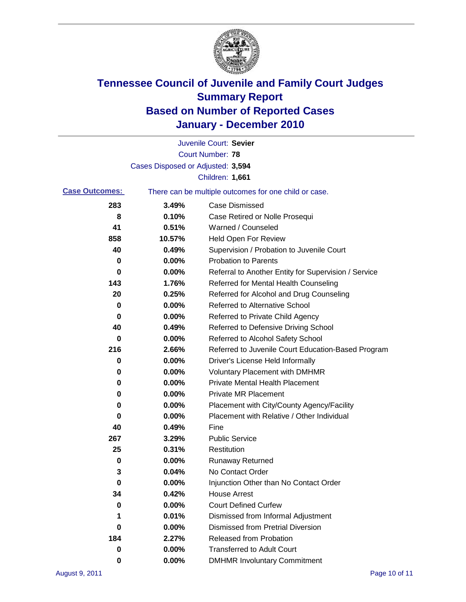

|                       |                                   | Juvenile Court: Sevier                                |
|-----------------------|-----------------------------------|-------------------------------------------------------|
|                       |                                   | <b>Court Number: 78</b>                               |
|                       | Cases Disposed or Adjusted: 3,594 |                                                       |
|                       |                                   | <b>Children: 1,661</b>                                |
| <b>Case Outcomes:</b> |                                   | There can be multiple outcomes for one child or case. |
| 283                   | 3.49%                             | <b>Case Dismissed</b>                                 |
| 8                     | 0.10%                             | Case Retired or Nolle Prosequi                        |
| 41                    | 0.51%                             | Warned / Counseled                                    |
| 858                   | 10.57%                            | <b>Held Open For Review</b>                           |
| 40                    | 0.49%                             | Supervision / Probation to Juvenile Court             |
| 0                     | 0.00%                             | <b>Probation to Parents</b>                           |
| 0                     | 0.00%                             | Referral to Another Entity for Supervision / Service  |
| 143                   | 1.76%                             | Referred for Mental Health Counseling                 |
| 20                    | 0.25%                             | Referred for Alcohol and Drug Counseling              |
| 0                     | 0.00%                             | <b>Referred to Alternative School</b>                 |
| 0                     | 0.00%                             | Referred to Private Child Agency                      |
| 40                    | 0.49%                             | Referred to Defensive Driving School                  |
| 0                     | 0.00%                             | Referred to Alcohol Safety School                     |
| 216                   | 2.66%                             | Referred to Juvenile Court Education-Based Program    |
| 0                     | 0.00%                             | Driver's License Held Informally                      |
| 0                     | 0.00%                             | <b>Voluntary Placement with DMHMR</b>                 |
| 0                     | 0.00%                             | <b>Private Mental Health Placement</b>                |
| 0                     | 0.00%                             | <b>Private MR Placement</b>                           |
| 0                     | 0.00%                             | Placement with City/County Agency/Facility            |
| 0                     | 0.00%                             | Placement with Relative / Other Individual            |
| 40                    | 0.49%                             | Fine                                                  |
| 267                   | 3.29%                             | <b>Public Service</b>                                 |
| 25                    | 0.31%                             | Restitution                                           |
| 0                     | 0.00%                             | <b>Runaway Returned</b>                               |
| 3                     | 0.04%                             | No Contact Order                                      |
| 0                     | 0.00%                             | Injunction Other than No Contact Order                |
| 34                    | 0.42%                             | <b>House Arrest</b>                                   |
| 0                     | 0.00%                             | <b>Court Defined Curfew</b>                           |
| 1                     | 0.01%                             | Dismissed from Informal Adjustment                    |
| 0                     | 0.00%                             | <b>Dismissed from Pretrial Diversion</b>              |
| 184                   | 2.27%                             | Released from Probation                               |
| 0                     | 0.00%                             | <b>Transferred to Adult Court</b>                     |
| 0                     | 0.00%                             | <b>DMHMR Involuntary Commitment</b>                   |